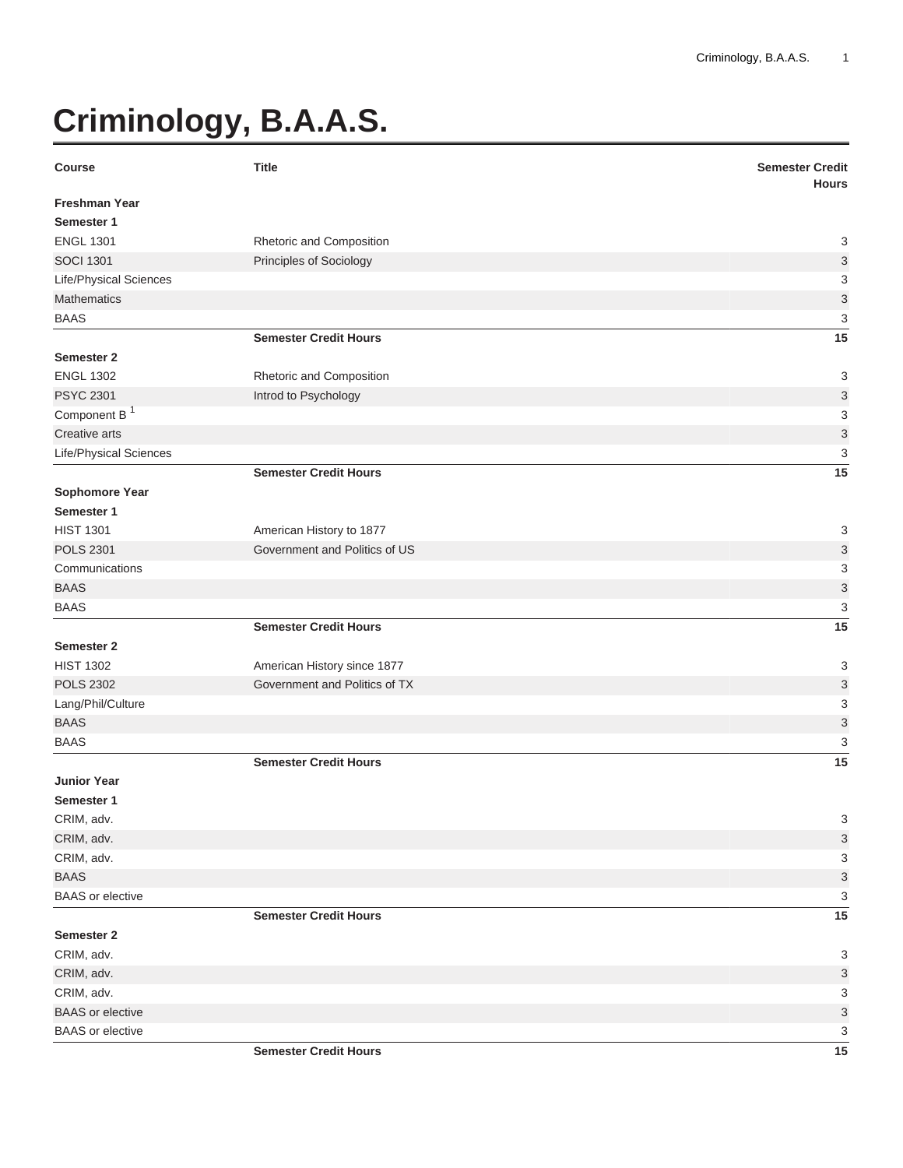## **Criminology, B.A.A.S.**

| <b>Course</b>            | <b>Title</b>                  | <b>Semester Credit</b><br><b>Hours</b> |
|--------------------------|-------------------------------|----------------------------------------|
| <b>Freshman Year</b>     |                               |                                        |
| Semester 1               |                               |                                        |
| <b>ENGL 1301</b>         | Rhetoric and Composition      | 3                                      |
| <b>SOCI 1301</b>         | Principles of Sociology       | $\ensuremath{\mathsf{3}}$              |
| Life/Physical Sciences   |                               | 3                                      |
| <b>Mathematics</b>       |                               | $\ensuremath{\mathsf{3}}$              |
| <b>BAAS</b>              |                               | 3                                      |
|                          | <b>Semester Credit Hours</b>  | 15                                     |
| <b>Semester 2</b>        |                               |                                        |
| <b>ENGL 1302</b>         | Rhetoric and Composition      | 3                                      |
| <b>PSYC 2301</b>         | Introd to Psychology          | $\ensuremath{\mathsf{3}}$              |
| Component B <sup>1</sup> |                               | 3                                      |
| Creative arts            |                               | $\mathsf 3$                            |
| Life/Physical Sciences   |                               | 3                                      |
|                          | <b>Semester Credit Hours</b>  | 15                                     |
| Sophomore Year           |                               |                                        |
| Semester 1               |                               |                                        |
| <b>HIST 1301</b>         | American History to 1877      | 3                                      |
| <b>POLS 2301</b>         | Government and Politics of US | $\ensuremath{\mathsf{3}}$              |
| Communications           |                               | 3                                      |
| <b>BAAS</b>              |                               | $\ensuremath{\mathsf{3}}$              |
| <b>BAAS</b>              |                               | 3                                      |
|                          | <b>Semester Credit Hours</b>  | 15                                     |
| <b>Semester 2</b>        |                               |                                        |
| <b>HIST 1302</b>         | American History since 1877   | 3                                      |
| <b>POLS 2302</b>         | Government and Politics of TX | $\ensuremath{\mathsf{3}}$              |
| Lang/Phil/Culture        |                               | 3                                      |
| <b>BAAS</b>              |                               | $\ensuremath{\mathsf{3}}$              |
| <b>BAAS</b>              |                               | 3                                      |
|                          | <b>Semester Credit Hours</b>  | 15                                     |
| <b>Junior Year</b>       |                               |                                        |
| Semester 1               |                               |                                        |
| CRIM, adv.               |                               | 3                                      |
| CRIM, adv.               |                               | 3                                      |
| CRIM, adv.               |                               | 3                                      |
| <b>BAAS</b>              |                               | $\ensuremath{\mathsf{3}}$              |
| <b>BAAS</b> or elective  |                               | 3                                      |
|                          | <b>Semester Credit Hours</b>  | 15                                     |
| Semester 2               |                               |                                        |
| CRIM, adv.               |                               | 3                                      |
| CRIM, adv.               |                               | 3                                      |
| CRIM, adv.               |                               | 3                                      |
| <b>BAAS</b> or elective  |                               | $\ensuremath{\mathsf{3}}$              |
| <b>BAAS</b> or elective  |                               | 3                                      |
|                          | <b>Semester Credit Hours</b>  | 15                                     |